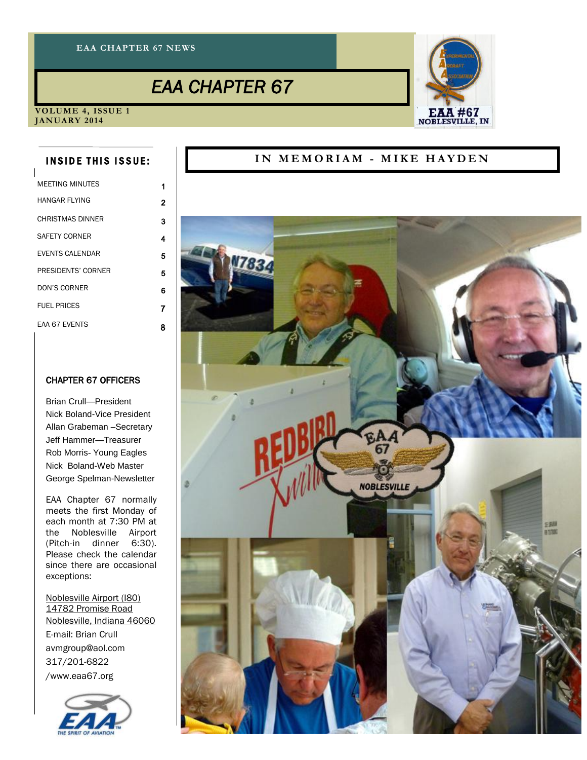#### **EAA CHAPTER 67 NEWS**

### *EAA CHAPTER 67*



**VOLUME 4, ISSUE 1 JANUARY 2014**

#### **INSIDE THIS ISSUE:**

| <b>MEFTING MINUTES</b>  |   |
|-------------------------|---|
| HANGAR FI YING          | 2 |
| <b>CHRISTMAS DINNER</b> | 3 |
| SAFFTY CORNER           | 4 |
| <b>EVENTS CALENDAR</b>  | 5 |
| PRESIDENTS' CORNER      | 5 |
| DON'S CORNER            | 6 |
| FUFI PRICES             | 7 |
| <b>FAA 67 FVFNTS</b>    | 8 |

#### CHAPTER 67 OFFICERS

Brian Crull—President Nick Boland-Vice President Allan Grabeman –Secretary Jeff Hammer—Treasurer Rob Morris- Young Eagles Nick Boland-Web Master George Spelman-Newsletter

EAA Chapter 67 normally meets the first Monday of each month at 7:30 PM at the Noblesville Airport (Pitch-in dinner 6:30). Please check the calendar since there are occasional exceptions:

[Noblesville Airport \(I80\)](http://www.airnav.com/airport/I80) [14782 Promise Road](http://maps.google.com/maps?f=q&source=s_q&hl=en&geocode=&q=40.0035000+/+-85.9645278) [Noblesville, Indiana 46060](http://maps.google.com/maps?f=q&source=s_q&hl=en&geocode=&q=40.0035000+/+-85.9645278) E-mail: Brian Crull avmgroup@aol.com 317/201-6822 /www.eaa67.org



#### IN MEMORIAM - MIKE HAYDEN

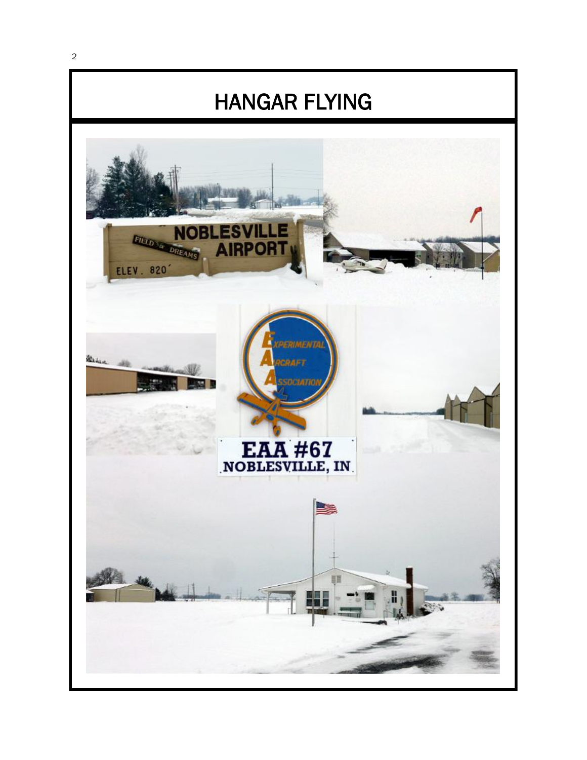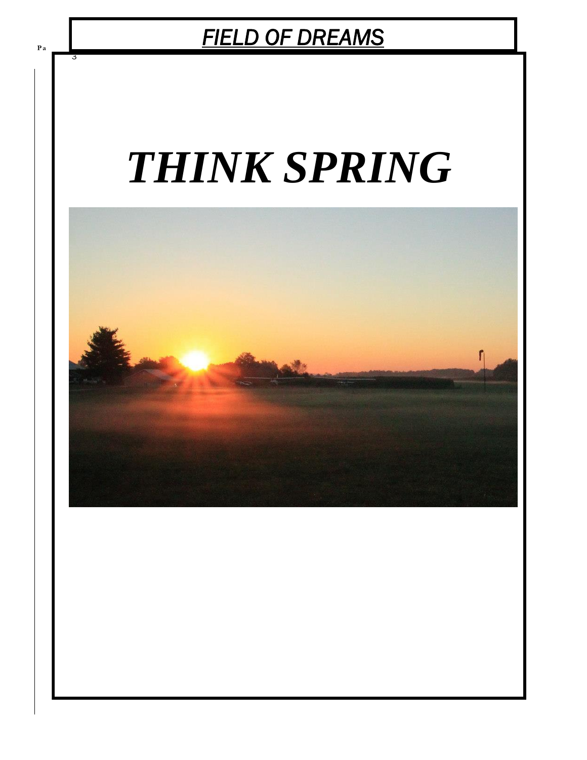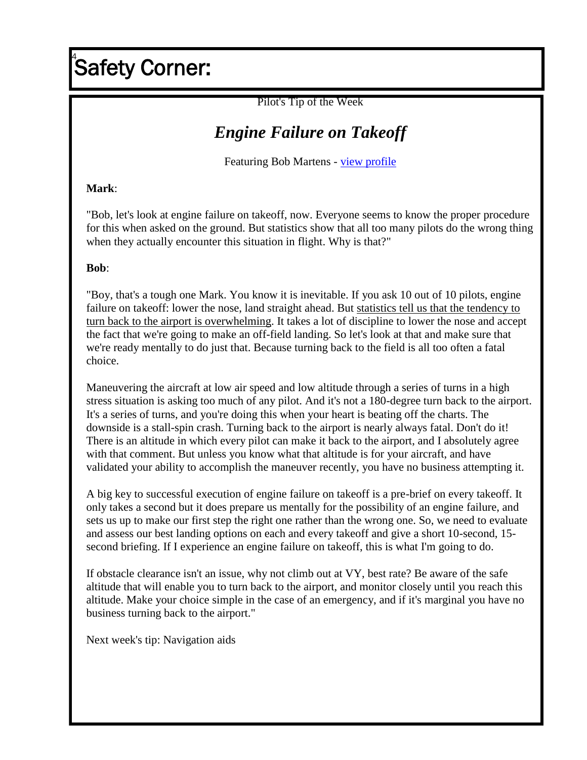## **Safety Corner:**

Pilot's Tip of the Week

## *Engine Failure on Takeoff*

Featuring Bob Martens - view profile

#### **Mark**:

"Bob, let's look at engine failure on takeoff, now. Everyone seems to know the proper procedure for this when asked on the ground. But statistics show that all too many pilots do the wrong thing when they actually encounter this situation in flight. Why is that?"

#### **Bob**:

"Boy, that's a tough one Mark. You know it is inevitable. If you ask 10 out of 10 pilots, engine failure on takeoff: lower the nose, land straight ahead. But statistics tell us that the tendency to turn back to the airport is overwhelming. It takes a lot of discipline to lower the nose and accept the fact that we're going to make an off-field landing. So let's look at that and make sure that we're ready mentally to do just that. Because turning back to the field is all too often a fatal choice.

Maneuvering the aircraft at low air speed and low altitude through a series of turns in a high stress situation is asking too much of any pilot. And it's not a 180-degree turn back to the airport. It's a series of turns, and you're doing this when your heart is beating off the charts. The downside is a stall-spin crash. Turning back to the airport is nearly always fatal. Don't do it! There is an altitude in which every pilot can make it back to the airport, and I absolutely agree with that comment. But unless you know what that altitude is for your aircraft, and have validated your ability to accomplish the maneuver recently, you have no business attempting it.

A big key to successful execution of engine failure on takeoff is a pre-brief on every takeoff. It only takes a second but it does prepare us mentally for the possibility of an engine failure, and sets us up to make our first step the right one rather than the wrong one. So, we need to evaluate and assess our best landing options on each and every takeoff and give a short 10-second, 15 second briefing. If I experience an engine failure on takeoff, this is what I'm going to do.

If obstacle clearance isn't an issue, why not climb out at VY, best rate? Be aware of the safe altitude that will enable you to turn back to the airport, and monitor closely until you reach this altitude. Make your choice simple in the case of an emergency, and if it's marginal you have no business turning back to the airport."

Next week's tip: Navigation aids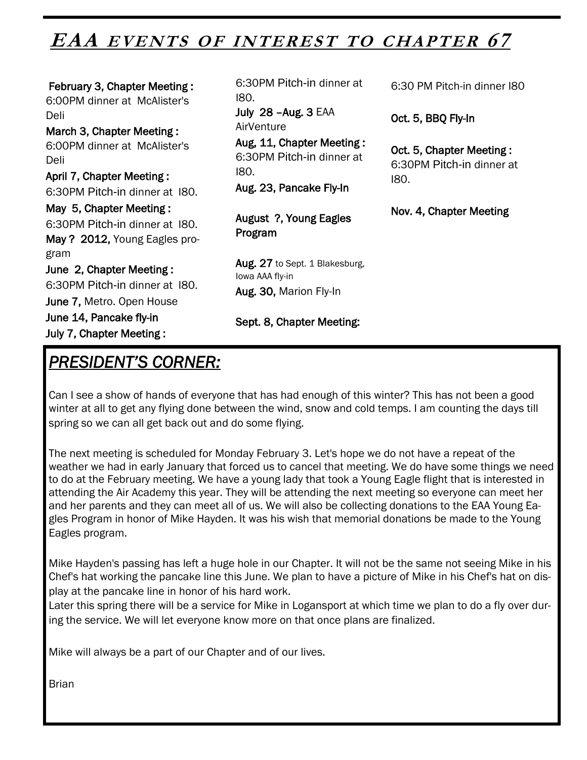## EAA EVENTS OF INTEREST TO CHAPTER 67

 February 3, Chapter Meeting : 6:00PM dinner at McAlister's Deli March 3, Chapter Meeting : 6:00PM dinner at McAlister's Deli April 7, Chapter Meeting : 6:30PM Pitch-in dinner at I80. May 5, Chapter Meeting : 6:30PM Pitch-in dinner at I80. May ? 2012, Young Eagles program June 2, Chapter Meeting : 6:30PM Pitch-in dinner at I80. June 7, Metro. Open House June 14, Pancake fly-in July 7, Chapter Meeting :

*PRESIDENT'S CORNER:* 

6:30PM Pitch-in dinner at I80.

July 28 –Aug. 3 EAA **AirVenture** 

Aug, 11, Chapter Meeting : 6:30PM Pitch-in dinner at I80.

Aug. 23, Pancake Fly-In

August ?, Young Eagles Program

Aug. 27 to Sept. 1 Blakesburg, Iowa AAA fly-in Aug. 30, Marion Fly-In

Sept. 8, Chapter Meeting:

Can I see a show of hands of everyone that has had enough of this winter? This has not been a good winter at all to get any flying done between the wind, snow and cold temps. I am counting the days till spring so we can all get back out and do some flying.

The next meeting is scheduled for Monday February 3. Let's hope we do not have a repeat of the weather we had in early January that forced us to cancel that meeting. We do have some things we need to do at the February meeting. We have a young lady that took a Young Eagle flight that is interested in attending the Air Academy this year. They will be attending the next meeting so everyone can meet her and her parents and they can meet all of us. We will also be collecting donations to the EAA Young Eagles Program in honor of Mike Hayden. It was his wish that memorial donations be made to the Young Eagles program.

Mike Hayden's passing has left a huge hole in our Chapter. It will not be the same not seeing Mike in his Chef's hat working the pancake line this June. We plan to have a picture of Mike in his Chef's hat on display at the pancake line in honor of his hard work.

Later this spring there will be a service for Mike in Logansport at which time we plan to do a fly over during the service. We will let everyone know more on that once plans are finalized.

Mike will always be a part of our Chapter and of our lives.

Brian

6:30 PM Pitch-in dinner I80

Oct. 5, BBQ Fly-In

Oct. 5, Chapter Meeting : 6:30PM Pitch-in dinner at I80.

Nov. 4, Chapter Meeting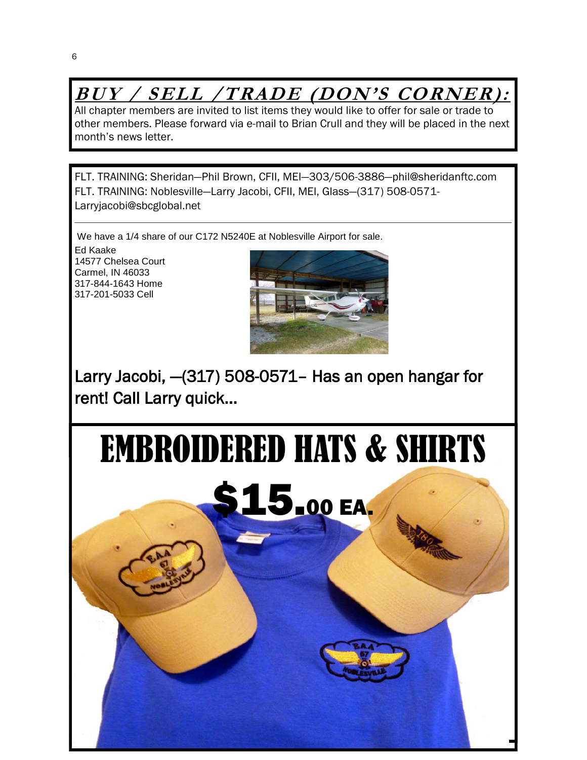## **BUY / SELL /TRADE (DON'S CORNER):**

All chapter members are invited to list items they would like to offer for sale or trade to other members. Please forward via e-mail to Brian Crull and they will be placed in the next month's news letter.

FLT. TRAINING: Sheridan—Phil Brown, CFII, MEI—303/506-3886—phil@sheridanftc.com FLT. TRAINING: Noblesville—Larry Jacobi, CFII, MEI, Glass—(317) 508-0571- Larryjacobi@sbcglobal.net

 $\overline{\phantom{a}}$  , and the contract of the contract of  $\overline{\phantom{a}}$ 

We have a 1/4 share of our C172 N5240E at Noblesville Airport for sale.

Ed Kaake 14577 Chelsea Court Carmel, IN 46033 317-844-1643 Home 317-201-5033 Cell



Larry Jacobi, —(317) 508-0571– Has an open hangar for rent! Call Larry quick...

# EMBROIDERED HATS & SHIRTS

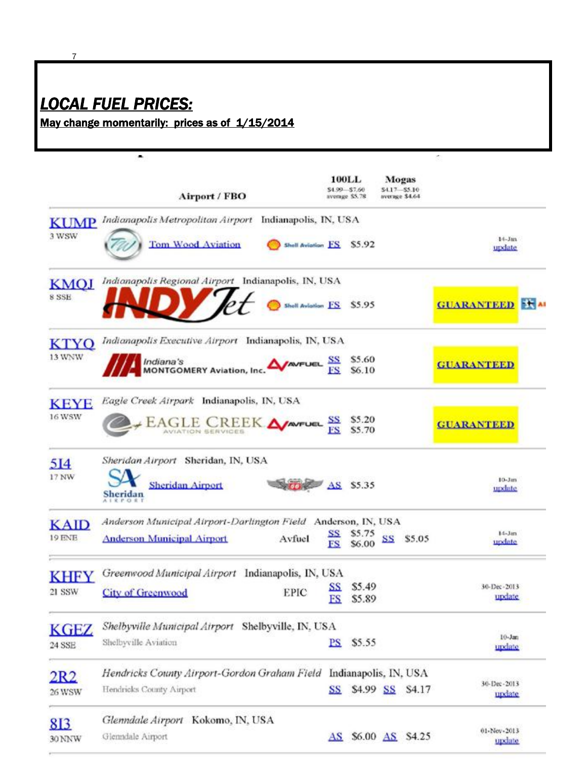## *LOCAL FUEL PRICES:*

7

Θ

May change momentarily: prices as of 1/15/2014

|                       | Airport / FBO                                                             |                                   |                                                |    |                                          | Ğ,                     |  |
|-----------------------|---------------------------------------------------------------------------|-----------------------------------|------------------------------------------------|----|------------------------------------------|------------------------|--|
|                       |                                                                           |                                   | <b>100LL</b><br>\$4.99 \$7.60<br>avenue \$5.78 |    | Mogas<br>\$4.17 \$5.10<br>average \$4.64 |                        |  |
| <b>KUMP</b>           | Indianapolis Metropolitan Airport<br>Indianapolis, IN, USA                |                                   |                                                |    |                                          |                        |  |
| 3 WSW                 | <b>Tom Wood Aviation</b><br>Shell Aviation F.S.                           |                                   | \$5.92                                         |    |                                          | $14 - Jan$<br>update   |  |
| <b>KMOJ</b><br>8 SSE  | Indianapolis Regional Airport Indianapolis, IN, USA<br>Shell Aviation FS  |                                   | \$5.95                                         |    |                                          | <b>GUARANTEED X AI</b> |  |
| KTYO                  | Indianapolis Executive Airport Indianapolis, IN, USA                      |                                   |                                                |    |                                          |                        |  |
| 13 WNW                | <b>AVAVEUEL SS</b><br>Indiana's<br>MONTGOMERY Aviation, Inc.              |                                   | \$5.60<br>\$6.10                               |    |                                          | <b>GUARANTEED</b>      |  |
| <b>KEYE</b><br>16 WSW | Eagle Creek Airpark Indianapolis, IN, USA<br>EAGLE CREEK <b>A</b>         |                                   | \$5.20<br>\$5.70                               |    |                                          | <b>GUARANTEED</b>      |  |
| 514<br>17 NW          | Sheridan Airport Sheridan, IN, USA<br><b>Sheridan Airport</b><br>Sheridan |                                   | AS \$5.35                                      |    |                                          | $10-3$ isn<br>update   |  |
| <b>KAID</b>           | Anderson Municipal Airport-Darlington Field Anderson, IN, USA             |                                   |                                                |    |                                          |                        |  |
| 19 ENE                | <b>Anderson Municipal Airport</b><br>Avfuel                               | SS<br>FS                          | \$5.75<br>\$6.00                               | SS | \$5.05                                   | $14 - Jan$<br>undate   |  |
| KHFY                  | Greenwood Municipal Airport Indianapolis, IN, USA                         |                                   |                                                |    |                                          |                        |  |
| 21 SSW                | <b>EPIC</b><br><b>City of Greenwood</b>                                   | <u>SS</u><br>ES                   | \$5.49<br>\$5.89                               |    |                                          | 30-Dec-2013<br>update  |  |
| KGEZ                  | Shelbyville Municipal Airport Shelbyville, IN, USA                        |                                   |                                                |    |                                          |                        |  |
| 24 SSE                | Shelbyville Aviation                                                      | PS                                | \$5.55                                         |    |                                          | $10 - Jan$<br>undate   |  |
| 2R2                   | Hendricks County Airport-Gordon Graham Field                              |                                   | Indianapolis, IN, USA                          |    |                                          |                        |  |
| 26 WSW                | Hendricks County Airport                                                  | SS                                |                                                |    | \$4.99 SS \$4.17                         | 30-Dec-2013<br>undate  |  |
| 813                   | Glenndale Airport Kokomo, IN, USA                                         |                                   |                                                |    |                                          |                        |  |
| 30 NNW                | Glenndale Airport                                                         | $\overline{\mathbf{A}}\mathbf{S}$ |                                                |    | \$6.00 AS \$4.25                         | 01-Nov-2013<br>update  |  |